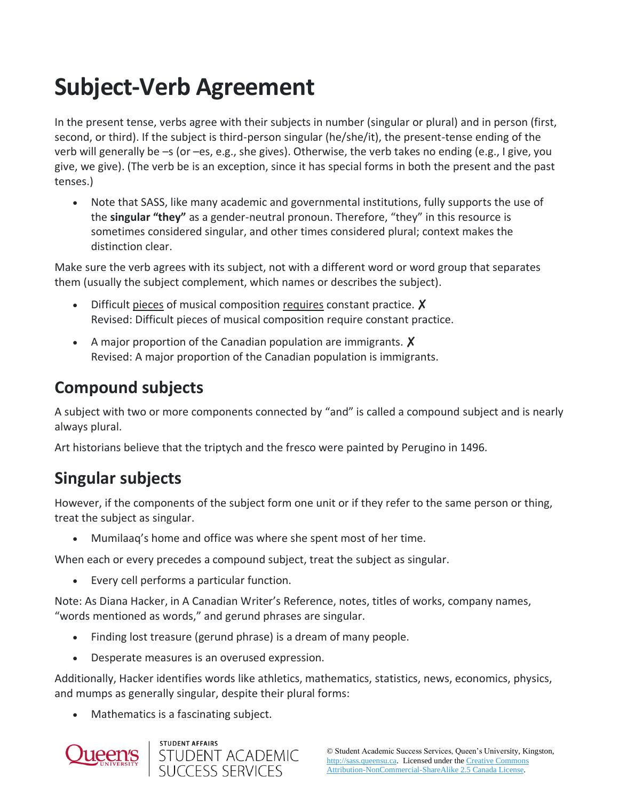# **Subject-Verb Agreement**

In the present tense, verbs agree with their subjects in number (singular or plural) and in person (first, second, or third). If the subject is third-person singular (he/she/it), the present-tense ending of the verb will generally be –s (or –es, e.g., she gives). Otherwise, the verb takes no ending (e.g., I give, you give, we give). (The verb be is an exception, since it has special forms in both the present and the past tenses.)

• Note that SASS, like many academic and governmental institutions, fully supports the use of the **singular "they"** as a gender-neutral pronoun. Therefore, "they" in this resource is sometimes considered singular, and other times considered plural; context makes the distinction clear.

Make sure the verb agrees with its subject, not with a different word or word group that separates them (usually the subject complement, which names or describes the subject).

- Difficult pieces of musical composition requires constant practice. X Revised: Difficult pieces of musical composition require constant practice.
- A major proportion of the Canadian population are immigrants. X Revised: A major proportion of the Canadian population is immigrants.

## **Compound subjects**

A subject with two or more components connected by "and" is called a compound subject and is nearly always plural.

Art historians believe that the triptych and the fresco were painted by Perugino in 1496.

## **Singular subjects**

However, if the components of the subject form one unit or if they refer to the same person or thing, treat the subject as singular.

• Mumilaaq's home and office was where she spent most of her time.

When each or every precedes a compound subject, treat the subject as singular.

• Every cell performs a particular function.

Note: As Diana Hacker, in A Canadian Writer's Reference, notes, titles of works, company names, "words mentioned as words," and gerund phrases are singular.

- Finding lost treasure (gerund phrase) is a dream of many people.
- Desperate measures is an overused expression.

Additionally, Hacker identifies words like athletics, mathematics, statistics, news, economics, physics, and mumps as generally singular, despite their plural forms:

• Mathematics is a fascinating subject.